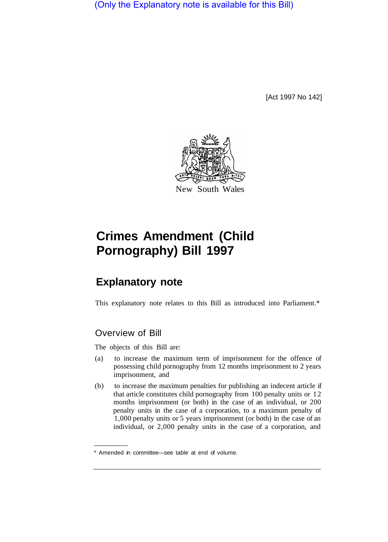(Only the Explanatory note is available for this Bill)

[Act 1997 No 142]



# **Crimes Amendment (Child Pornography) Bill 1997**

# **Explanatory note**

This explanatory note relates to this Bill as introduced into Parliament.\*

# Overview of Bill

The objects of this Bill are:

- (a) to increase the maximum term of imprisonment for the offence of possessing child pornography from 12 months imprisonment to 2 years imprisonment, and
- (b) to increase the maximum penalties for publishing an indecent article if that article constitutes child pornography from 100 penalty units or 12 months imprisonment (or both) in the case of an individual, or 200 penalty units in the case of a corporation, to a maximum penalty of 1,000 penalty units or 5 years imprisonment (or both) in the case of an individual, or 2,000 penalty units in the case of a corporation, and

<sup>\*</sup> Amended in committee—see table at end of volume.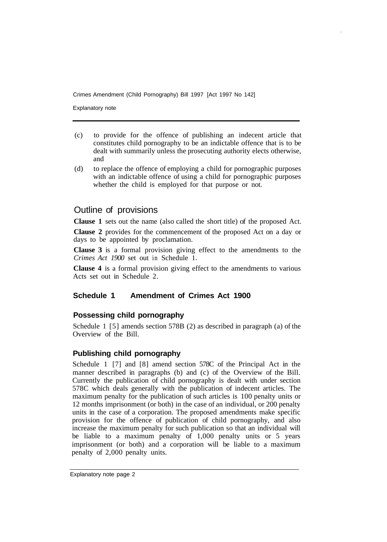Crimes Amendment (Child Pornography) Bill 1997 [Act 1997 No 142]

Explanatory note

- (c) to provide for the offence of publishing an indecent article that constitutes child pornography to be an indictable offence that is to be dealt with summarily unless the prosecuting authority elects otherwise, and
- (d) to replace the offence of employing a child for pornographic purposes with an indictable offence of using a child for pornographic purposes whether the child is employed for that purpose or not.

### Outline of provisions

**Clause 1** sets out the name (also called the short title) of the proposed Act.

**Clause 2** provides for the commencement of the proposed Act on a day or days to be appointed by proclamation.

**Clause 3** is a formal provision giving effect to the amendments to the *Crimes Act 1900* set out in Schedule **1.** 

**Clause 4** is a formal provision giving effect to the amendments to various Acts set out in Schedule 2.

#### **Schedule 1 Amendment of Crimes Act 1900**

#### **Possessing child pornography**

Schedule 1 [5] amends section 578B (2) as described in paragraph (a) of the Overview of the Bill.

#### **Publishing child pornography**

Schedule 1 [7] and [8] amend section 578C of the Principal Act in the manner described in paragraphs (b) and (c) of the Overview of the Bill. Currently the publication of child pornography is dealt with under section 578C which deals generally with the publication of indecent articles. The maximum penalty for the publication of such articles is 100 penalty units or 12 months imprisonment (or both) in the case of an individual, or 200 penalty units in the case of a corporation. The proposed amendments make specific provision for the offence of publication of child pornography, and also increase the maximum penalty for such publication so that an individual will be liable to a maximum penalty of 1,000 penalty units or 5 years imprisonment (or both) and a corporation will be liable to a maximum penalty of 2,000 penalty units.